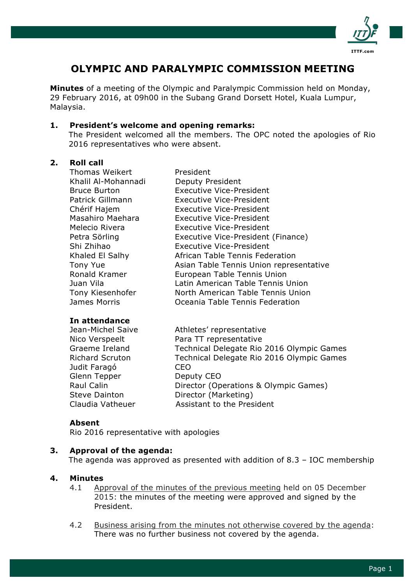

# **OLYMPIC AND PARALYMPIC COMMISSION MEETING**

**Minutes** of a meeting of the Olympic and Paralympic Commission held on Monday, 29 February 2016, at 09h00 in the Subang Grand Dorsett Hotel, Kuala Lumpur, Malaysia.

#### **1. President's welcome and opening remarks:**

The President welcomed all the members. The OPC noted the apologies of Rio 2016 representatives who were absent.

#### **2. Roll call**

Thomas Weikert President Khalil Al-Mohannadi Deputy President Bruce Burton Executive Vice-President Patrick Gillmann Executive Vice-President Chérif Hajem Executive Vice-President Masahiro Maehara Executive Vice-President Melecio Rivera Executive Vice-President Petra Sörling Executive Vice-President (Finance) Shi Zhihao Executive Vice-President Khaled El Salhy African Table Tennis Federation Tony Yue **Asian Table Tennis Union representative** Ronald Kramer European Table Tennis Union Juan Vila Latin American Table Tennis Union Tony Kiesenhofer North American Table Tennis Union James Morris Oceania Table Tennis Federation

## **In attendance**

| Athletes' representative                  |
|-------------------------------------------|
| Para TT representative                    |
| Technical Delegate Rio 2016 Olympic Games |
| Technical Delegate Rio 2016 Olympic Games |
| CEO.                                      |
| Deputy CEO                                |
| Director (Operations & Olympic Games)     |
| Director (Marketing)                      |
| Assistant to the President                |
|                                           |

## **Absent**

Rio 2016 representative with apologies

## **3. Approval of the agenda:**

The agenda was approved as presented with addition of 8.3 – IOC membership

#### **4. Minutes**

- 4.1 Approval of the minutes of the previous meeting held on 05 December 2015: the minutes of the meeting were approved and signed by the President.
- 4.2 Business arising from the minutes not otherwise covered by the agenda: There was no further business not covered by the agenda.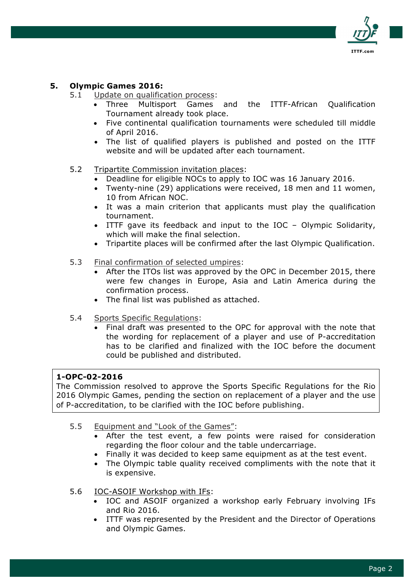

# **5. Olympic Games 2016:**

- 5.1 Update on qualification process:
	- Three Multisport Games and the ITTF-African Qualification Tournament already took place.
	- Five continental qualification tournaments were scheduled till middle of April 2016.
	- The list of qualified players is published and posted on the ITTF website and will be updated after each tournament.
- 5.2 Tripartite Commission invitation places:
	- Deadline for eligible NOCs to apply to IOC was 16 January 2016.
	- Twenty-nine (29) applications were received, 18 men and 11 women, 10 from African NOC.
	- It was a main criterion that applicants must play the qualification tournament.
	- ITTF gave its feedback and input to the IOC Olympic Solidarity, which will make the final selection.
	- Tripartite places will be confirmed after the last Olympic Qualification.
- 5.3 Final confirmation of selected umpires:
	- After the ITOs list was approved by the OPC in December 2015, there were few changes in Europe, Asia and Latin America during the confirmation process.
	- The final list was published as attached.
- 5.4 Sports Specific Regulations:
	- Final draft was presented to the OPC for approval with the note that the wording for replacement of a player and use of P-accreditation has to be clarified and finalized with the IOC before the document could be published and distributed.

## **1-OPC-02-2016**

The Commission resolved to approve the Sports Specific Regulations for the Rio 2016 Olympic Games, pending the section on replacement of a player and the use of P-accreditation, to be clarified with the IOC before publishing.

- 5.5 Equipment and "Look of the Games":
	- After the test event, a few points were raised for consideration regarding the floor colour and the table undercarriage.
	- Finally it was decided to keep same equipment as at the test event.
	- The Olympic table quality received compliments with the note that it is expensive.
- 5.6 IOC-ASOIF Workshop with IFs:
	- IOC and ASOIF organized a workshop early February involving IFs and Rio 2016.
	- ITTF was represented by the President and the Director of Operations and Olympic Games.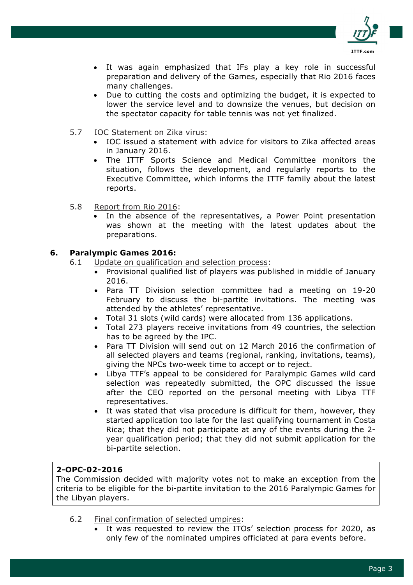

- It was again emphasized that IFs play a key role in successful preparation and delivery of the Games, especially that Rio 2016 faces many challenges.
- Due to cutting the costs and optimizing the budget, it is expected to lower the service level and to downsize the venues, but decision on the spectator capacity for table tennis was not yet finalized.
- 5.7 IOC Statement on Zika virus:
	- IOC issued a statement with advice for visitors to Zika affected areas in January 2016.
	- The ITTF Sports Science and Medical Committee monitors the situation, follows the development, and regularly reports to the Executive Committee, which informs the ITTF family about the latest reports.
- 5.8 Report from Rio 2016:
	- In the absence of the representatives, a Power Point presentation was shown at the meeting with the latest updates about the preparations.

#### **6. Paralympic Games 2016:**

- 6.1 Update on qualification and selection process:
	- Provisional qualified list of players was published in middle of January 2016.
	- Para TT Division selection committee had a meeting on 19-20 February to discuss the bi-partite invitations. The meeting was attended by the athletes' representative.
	- Total 31 slots (wild cards) were allocated from 136 applications.
	- Total 273 players receive invitations from 49 countries, the selection has to be agreed by the IPC.
	- Para TT Division will send out on 12 March 2016 the confirmation of all selected players and teams (regional, ranking, invitations, teams), giving the NPCs two-week time to accept or to reject.
	- Libya TTF's appeal to be considered for Paralympic Games wild card selection was repeatedly submitted, the OPC discussed the issue after the CEO reported on the personal meeting with Libya TTF representatives.
	- It was stated that visa procedure is difficult for them, however, they started application too late for the last qualifying tournament in Costa Rica; that they did not participate at any of the events during the 2 year qualification period; that they did not submit application for the bi-partite selection.

## **2-OPC-02-2016**

The Commission decided with majority votes not to make an exception from the criteria to be eligible for the bi-partite invitation to the 2016 Paralympic Games for the Libyan players.

- 6.2 Final confirmation of selected umpires:
	- It was requested to review the ITOs' selection process for 2020, as only few of the nominated umpires officiated at para events before.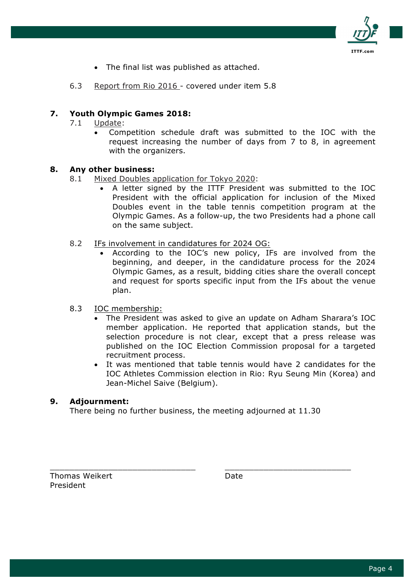

- The final list was published as attached.
- 6.3 Report from Rio 2016 covered under item 5.8

# **7. Youth Olympic Games 2018:**

- 7.1 Update:
	- Competition schedule draft was submitted to the IOC with the request increasing the number of days from 7 to 8, in agreement with the organizers.

#### **8. Any other business:**

- 8.1 Mixed Doubles application for Tokyo 2020:
	- A letter signed by the ITTF President was submitted to the IOC President with the official application for inclusion of the Mixed Doubles event in the table tennis competition program at the Olympic Games. As a follow-up, the two Presidents had a phone call on the same subject.
- 8.2 IFs involvement in candidatures for 2024 OG:
	- According to the IOC's new policy, IFs are involved from the beginning, and deeper, in the candidature process for the 2024 Olympic Games, as a result, bidding cities share the overall concept and request for sports specific input from the IFs about the venue plan.
- 8.3 IOC membership:
	- The President was asked to give an update on Adham Sharara's IOC member application. He reported that application stands, but the selection procedure is not clear, except that a press release was published on the IOC Election Commission proposal for a targeted recruitment process.
	- It was mentioned that table tennis would have 2 candidates for the IOC Athletes Commission election in Rio: Ryu Seung Min (Korea) and Jean-Michel Saive (Belgium).

## **9. Adjournment:**

There being no further business, the meeting adjourned at 11.30

\_\_\_\_\_\_\_\_\_\_\_\_\_\_\_\_\_\_\_\_\_\_\_\_\_\_\_\_\_\_ \_\_\_\_\_\_\_\_\_\_\_\_\_\_\_\_\_\_\_\_\_\_\_\_\_\_

Thomas Weikert **Date** Date President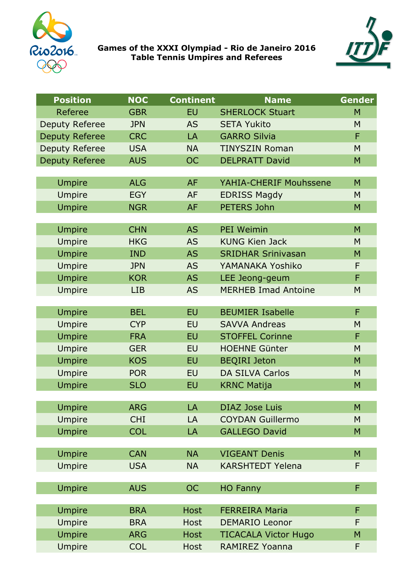

**Games of the XXXI Olympiad - Rio de Janeiro 2016 Table Tennis Umpires and Referees** 



| <b>Position</b>       | <b>NOC</b> | <b>Continent</b> | <b>Name</b>                 | <b>Gender</b> |
|-----------------------|------------|------------------|-----------------------------|---------------|
| Referee               | <b>GBR</b> | <b>EU</b>        | <b>SHERLOCK Stuart</b>      | M             |
| <b>Deputy Referee</b> | <b>JPN</b> | <b>AS</b>        | <b>SETA Yukito</b>          | M             |
| <b>Deputy Referee</b> | <b>CRC</b> | LA               | <b>GARRO Silvia</b>         | F             |
| <b>Deputy Referee</b> | <b>USA</b> | <b>NA</b>        | <b>TINYSZIN Roman</b>       | M             |
| <b>Deputy Referee</b> | <b>AUS</b> | <b>OC</b>        | <b>DELPRATT David</b>       | M             |
|                       |            |                  |                             |               |
| <b>Umpire</b>         | <b>ALG</b> | <b>AF</b>        | YAHIA-CHERIF Mouhssene      | M             |
| <b>Umpire</b>         | <b>EGY</b> | <b>AF</b>        | <b>EDRISS Magdy</b>         | M             |
| <b>Umpire</b>         | <b>NGR</b> | <b>AF</b>        | <b>PETERS John</b>          | M             |
|                       |            |                  |                             |               |
| <b>Umpire</b>         | <b>CHN</b> | <b>AS</b>        | <b>PEI Weimin</b>           | M             |
| Umpire                | <b>HKG</b> | <b>AS</b>        | <b>KUNG Kien Jack</b>       | M             |
| <b>Umpire</b>         | <b>IND</b> | <b>AS</b>        | <b>SRIDHAR Srinivasan</b>   | M             |
| <b>Umpire</b>         | <b>JPN</b> | <b>AS</b>        | YAMANAKA Yoshiko            | F             |
| <b>Umpire</b>         | <b>KOR</b> | <b>AS</b>        | LEE Jeong-geum              | F             |
| <b>Umpire</b>         | <b>LIB</b> | <b>AS</b>        | <b>MERHEB Imad Antoine</b>  | M             |
| <b>Umpire</b>         | <b>BEL</b> | <b>EU</b>        | <b>BEUMIER Isabelle</b>     | F             |
| <b>Umpire</b>         | <b>CYP</b> | <b>EU</b>        | <b>SAVVA Andreas</b>        | M             |
| <b>Umpire</b>         | <b>FRA</b> | <b>EU</b>        | <b>STOFFEL Corinne</b>      | F             |
| <b>Umpire</b>         | <b>GER</b> | <b>EU</b>        | <b>HOEHNE Günter</b>        | M             |
| <b>Umpire</b>         | <b>KOS</b> | <b>EU</b>        | <b>BEQIRI Jeton</b>         | M             |
| Umpire                | <b>POR</b> | <b>EU</b>        | <b>DA SILVA Carlos</b>      | M             |
| <b>Umpire</b>         | <b>SLO</b> | <b>EU</b>        | <b>KRNC Matija</b>          | M             |
|                       |            |                  |                             |               |
| <b>Umpire</b>         | <b>ARG</b> | LA               | <b>DIAZ Jose Luis</b>       | M             |
| <b>Umpire</b>         | <b>CHI</b> | LA               | <b>COYDAN Guillermo</b>     | M             |
| <b>Umpire</b>         | <b>COL</b> | LA               | <b>GALLEGO David</b>        | M             |
|                       |            |                  |                             |               |
| <b>Umpire</b>         | <b>CAN</b> | <b>NA</b>        | <b>VIGEANT Denis</b>        | M             |
| <b>Umpire</b>         | <b>USA</b> | <b>NA</b>        | <b>KARSHTEDT Yelena</b>     | F             |
|                       |            |                  |                             |               |
| <b>Umpire</b>         | <b>AUS</b> | <b>OC</b>        | <b>HO Fanny</b>             | F             |
|                       |            |                  |                             |               |
| <b>Umpire</b>         | <b>BRA</b> | <b>Host</b>      | <b>FERREIRA Maria</b>       | F             |
| <b>Umpire</b>         | <b>BRA</b> | <b>Host</b>      | <b>DEMARIO Leonor</b>       | F             |
| <b>Umpire</b>         | <b>ARG</b> | <b>Host</b>      | <b>TICACALA Victor Hugo</b> | M             |
| Umpire                | <b>COL</b> | Host             | <b>RAMIREZ Yoanna</b>       | F             |